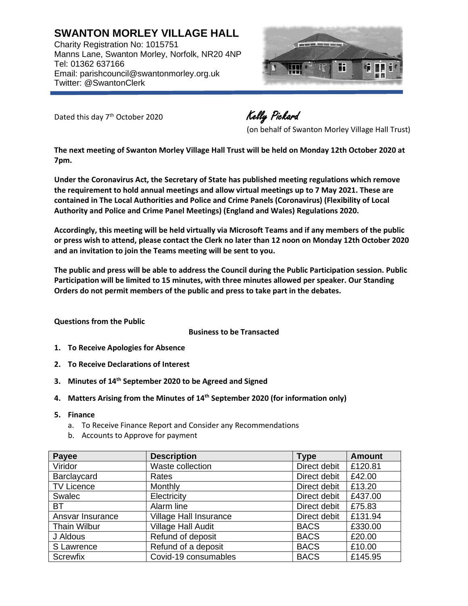**SWANTON MORLEY VILLAGE HALL** Charity Registration No: 1015751 Manns Lane, Swanton Morley, Norfolk, NR20 4NP Tel: 01362 637166 Email: parishcouncil@swantonmorley.org.uk Twitter: @SwantonClerk



Dated this day 7<sup>th</sup> October 2020

Kelly Pickard

(on behalf of Swanton Morley Village Hall Trust)

**The next meeting of Swanton Morley Village Hall Trust will be held on Monday 12th October 2020 at 7pm.**

**Under the Coronavirus Act, the Secretary of State has published meeting regulations which remove the requirement to hold annual meetings and allow virtual meetings up to 7 May 2021. These are contained in The Local Authorities and Police and Crime Panels (Coronavirus) (Flexibility of Local Authority and Police and Crime Panel Meetings) (England and Wales) Regulations 2020.**

**Accordingly, this meeting will be held virtually via Microsoft Teams and if any members of the public or press wish to attend, please contact the Clerk no later than 12 noon on Monday 12th October 2020 and an invitation to join the Teams meeting will be sent to you.**

**The public and press will be able to address the Council during the Public Participation session. Public Participation will be limited to 15 minutes, with three minutes allowed per speaker. Our Standing Orders do not permit members of the public and press to take part in the debates.**

## **Questions from the Public**

**Business to be Transacted**

- **1. To Receive Apologies for Absence**
- **2. To Receive Declarations of Interest**
- **3. Minutes of 14 th September 2020 to be Agreed and Signed**
- **4. Matters Arising from the Minutes of 14 th September 2020 (for information only)**
- **5. Finance**
	- a. To Receive Finance Report and Consider any Recommendations
	- b. Accounts to Approve for payment

| Payee               | <b>Description</b>            | <b>Type</b>  | <b>Amount</b> |
|---------------------|-------------------------------|--------------|---------------|
| Viridor             | Waste collection              | Direct debit | £120.81       |
| Barclaycard         | Rates                         | Direct debit | £42.00        |
| <b>TV Licence</b>   | Monthly                       | Direct debit | £13.20        |
| Swalec              | Electricity                   | Direct debit | £437.00       |
| <b>BT</b>           | Alarm line                    | Direct debit | £75.83        |
| Ansvar Insurance    | <b>Village Hall Insurance</b> | Direct debit | £131.94       |
| <b>Thain Wilbur</b> | <b>Village Hall Audit</b>     | <b>BACS</b>  | £330.00       |
| J Aldous            | Refund of deposit             | <b>BACS</b>  | £20.00        |
| S Lawrence          | Refund of a deposit           | <b>BACS</b>  | £10.00        |
| <b>Screwfix</b>     | Covid-19 consumables          | <b>BACS</b>  | £145.95       |